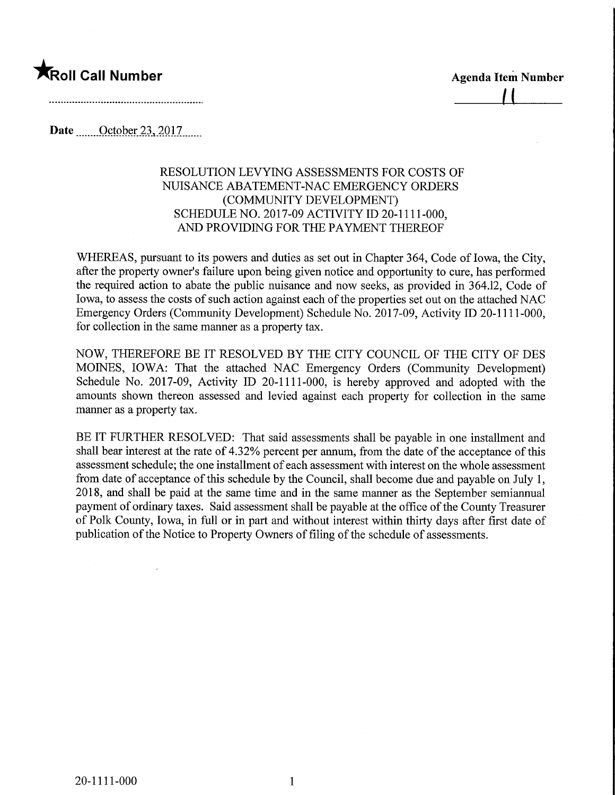## **The Second Call Number Agenda Item Number Agenda Item Number**

**Date** <u>October 23, 2017</u>

## RESOLUTION LEVYING ASSESSMENTS FOR COSTS OF NUISANCE ABATEMENT-NAC EMERGENCY ORDERS (COMMUNITY DEVELOPMENT) SCHEDULE NO. 2017-09 ACTIVITY ID 20-1111-000, AND PROVIDING FOR THE PAYMENT THEREOF

WHEREAS, pursuant to its powers and duties as set out in Chapter 364, Code of Iowa, the City, after the property owner's failure upon being given notice and opportunity to cure, has performed the required action to abate the public nuisance and now seeks, as provided in 364.12, Code of Iowa, to assess the costs of such action against each of the properties set out on the attached NAC Emergency Orders (Community Development) Schedule No. 2017-09, Activity ID 20-1111-000, for collection in the same manner as a property tax.

NOW, THEREFORE BE IT RESOLVED BY THE CITY COUNCIL OF THE CITY OF DES MOINES, IOWA: That the attached NAC Emergency Orders (Community Development) Schedule No. 2017-09, Activity ID 20-1111-000, is hereby approved and adopted with the amounts shown thereon assessed and levied against each property for collection in the same manner as a property tax.

BE IT FURTHER RESOLVED: That said assessments shall be payable in one installment and shall bear interest at the rate of 4.32% percent per annum, from the date of the acceptance of this assessment schedule; the one installment of each assessment with interest on the whole assessment from date of acceptance of this schedule by the Council, shall become due and payable on July 1, 2018, and shall be paid at the same time and in the same manner as the September semiannual payment of ordinary taxes. Said assessment shall be payable at the office of the County Treasurer of Polk County, Iowa, in full or in part and without interest within thirty days after first date of publication of the Notice to Property Owners of filling of the schedule of assessments.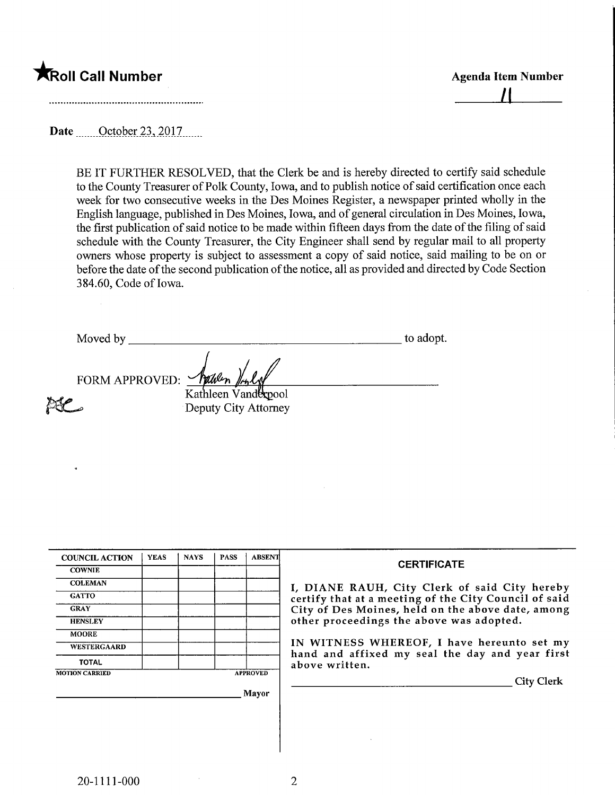## **The Second Call Number Agents Control of the Control of Agents Agents Item Number**

 $\perp$ 

Date ... October 23, 2017.......

BE IT FURTHER RESOLVED, that the Clerk be and is hereby directed to certify said schedule to the County Treasurer of Polk County, Iowa, and to publish notice of said certification once each week for two consecutive weeks in the Des Moines Register, a newspaper printed wholly in the English language, published in Des Moines, Iowa, and of general circulation in Des Moines, Iowa, the first publication of said notice to be made within fifteen days from the date of the filing of said schedule with the County Treasurer, the City Engineer shall send by regular mail to all property owners whose property is subject to assessment a copy of said notice, said mailing to be on or before the date of the second publication of the notice, all as provided and directed by Code Section 3 84.60, Code of Iowa.

Moved by to adopt.

FORM APPROVED:

pse

Kathleen Vanderbool Deputy City Attorney

| <b>COUNCIL ACTION</b> | <b>YEAS</b> | <b>NAYS</b> | <b>PASS</b> | <b>ABSENT</b>   | <b>CERTIFICATE</b>                                                                            |
|-----------------------|-------------|-------------|-------------|-----------------|-----------------------------------------------------------------------------------------------|
| <b>COWNIE</b>         |             |             |             |                 |                                                                                               |
| <b>COLEMAN</b>        |             |             |             |                 | I, DIANE RAUH, City Clerk of said City hereby                                                 |
| <b>GATTO</b>          |             |             |             |                 | certify that at a meeting of the City Council of said                                         |
| <b>GRAY</b>           |             |             |             |                 | City of Des Moines, held on the above date, among                                             |
| <b>HENSLEY</b>        |             |             |             |                 | other proceedings the above was adopted.                                                      |
| <b>MOORE</b>          |             |             |             |                 |                                                                                               |
| WESTERGAARD           |             |             |             |                 | IN WITNESS WHEREOF, I have hereunto set my<br>hand and affixed my seal the day and year first |
| <b>TOTAL</b>          |             |             |             |                 | above written.                                                                                |
| <b>MOTION CARRIED</b> |             |             |             | <b>APPROVED</b> |                                                                                               |
|                       |             |             |             |                 | <b>City Clerk</b>                                                                             |
|                       |             |             |             | Mayor           |                                                                                               |
|                       |             |             |             |                 |                                                                                               |
|                       |             |             |             |                 |                                                                                               |
|                       |             |             |             |                 |                                                                                               |
|                       |             |             |             |                 |                                                                                               |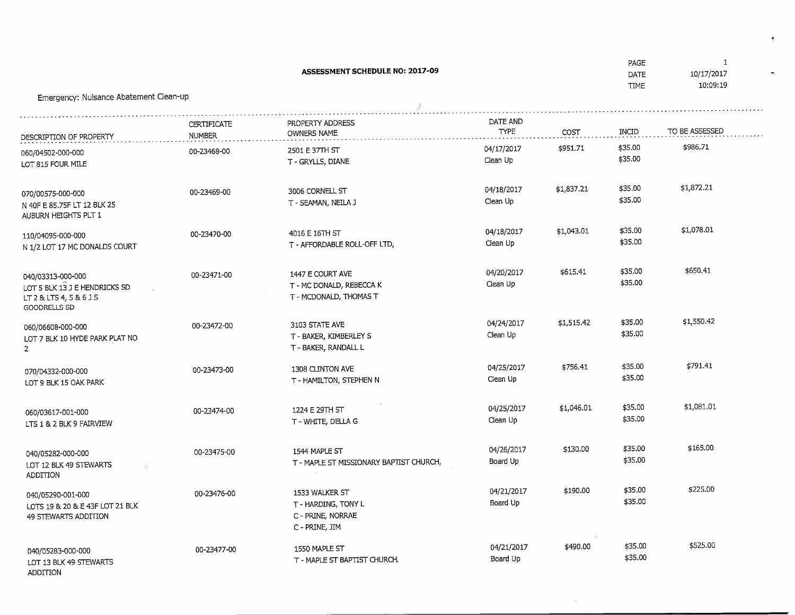. . . .<br>ATE ASSESSMENT SCHEDULE NO: 2017-0910/17/2017  $10:09:19$ IME Emergency: Nuisance Abatement Clean-upPROPERTY ADDRESSDATE ANDCERTIFICATE**TYPE** INCIDTO BE ASSESSEDCOSTOWNERS NAMENUMBERDESCRIPTION OF PROPERTY\$986.71 \$35.00 04/17/2017 00-23468-002501 E 37TH ST \$951.71OGO/04502-000-000\$35.00 \$35.00Clean UpOT 815 FOUR MILE T - GRYLLS, DIANE\$1,872.21 04/18/2017\$1,837.213006 CORNELL ST00-23469-00070/00575-000-000 $35.00$ \$1,872.21Clean Up N 40F E 85.75F LT 12 BLK 25 T-SEAMAN, NEILAJAUBURN HEIGHTS PLT 1 \$35.00 04/18/2017\$1,043.014016 E 16TH ST00-23470-00110/04095-000-000\$35.00 \$35.00Clean Up N 1/2 LOT 17 MC DONALDS COURT T - AFFORDABLE ROLL-OFF LTD,\$650.41 \$615.4104/20/201700-23471-001447 E COURT AVE040/03313-000-000.<br>\$35.00 Clean Up LOT 5 BLK 13 J E HENDRICKS SD T - MC DONALD, REBECCA K\$35.00LT 2 & LTS 4, 5 & 6 J S T - MCDONALD, THOMAS TGOODRELLS SD04/24/2017\$1,515.4200-23472-003103 STATE AVE060/06608-000-000.<br>\$35.00 \$1,550.42Clean Up LOT 7 BLK 10 HYDE PARK PLAT NO T - BAKER, KIMBERLEY S\$35.00T- BAKER, RANDALL L2\$791.41 \$756.41\$35.00 1308 CLINTON AVE04/25/201700-23473-00070/04332-000-000.<br>\$35.00 Clean Up LOT 9 BLK 15 OAK PARK T - HAMILTON, STEPHEN N\$35.00\$1,081.01 04/25/2017\$1,046.011224 E 29TH ST00-23474-00060/03617-001-000.<br>\$35.00 \$1,081.01Clean Up LTS 1 & 2 BLK 9 FAIRVIEWT-WHIL<sub>F</sub>, DELLAG \$35.00\$165.00 04/26/2017\$130.001544 MAPLE ST00-23475-00040/05282-000-000.<br>¢35.00 Board UpLOT 12 BLK 49 STEWARTS T - MAPLE ST MISSIONARY BAPTIST CHURCH,\$35.00ADDITION\$225.00 04/21/2017\$190.001533 WALKER ST00-23476-00040/05290-001-000.<br>ቁ35.00 Board Up LOTS 19 & 20 & E 43F LOT 21 BLK T - HARDING, TONY LC - PRIME, NORRAE49 STEWARTS ADDITION C - PRIME, JIM\$35.00<br>\$35.00 \$525.00 04/21/2017\$490.0000-23477-001550 MAPLE ST040/05283-000-000\$525.00Board Up

T - MAPLE ST BAPTIST CHURCH,

LOT 13 BLK 49 STEWARTS ADDITION

 $\mathbf{1}$ 

\$35.00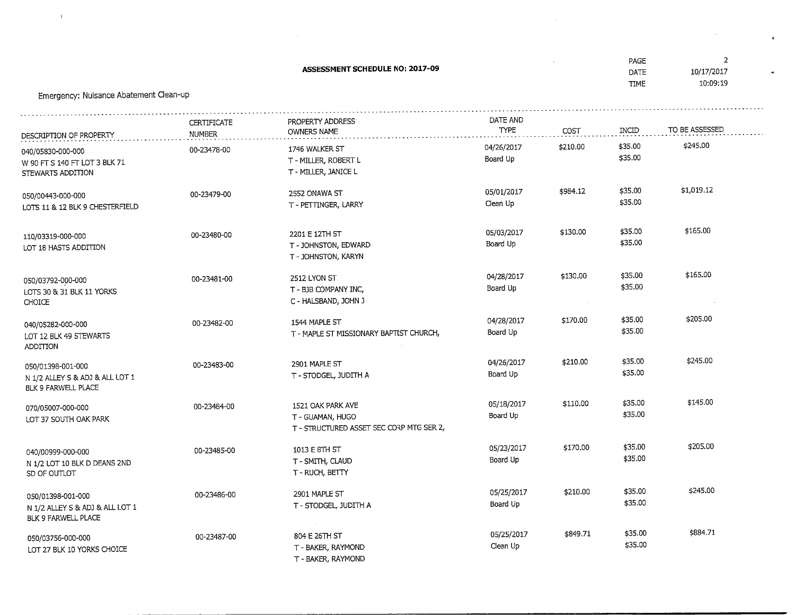ASSESSMENT SCHEDULE NO: 2017-09.<br>ATE 10/17/2017 DATE $10:09:19$  TIMEEmergency: Nuisance Abatement Clean-upDATE ANDCERTIFICATEPROPERTY ADDRESSTYPE INCIDTO BE ASSESSEDOWNERS NAMECOSTNUMBERDESCRIPTION OF PROPERTY \$245.00 \$35.00 04/26/2017 \$210.001746 WALKER ST00-23478-00040/05830-000-000\$35.00 \$35.00Board Up W 90 FT S 140 FT LOT 3 BLK 71 T - MILLER, ROBERT LT - MILLER, JANICE LSTEWARTS ADDITION \$984.1205/01/201700-23479-002552 ONAWA ST050/00443-000-000\$35.00 \$35.00Clean Up LOTS 11 & 12 BLK 9 CHESTERFIELD T - PEUINGER, LARRY\$165.00 05/03/2017\$130.0000-23480-002201 E 12TH ST110/03319-000-000\$35.00 \$35.00Board Up LOT 18 HASTS ADDITION T - JOHNSTON, EDWARDT - JOHNSTON, KARYN \$130.0004/28/201700-23481-002512 LYON ST050/03792-000-000\$35.00 \$35.00Board Up LOTS30&31BLK11YORKS T - B3B COMPANY INC, C - HALSBAND, JOHN 3CHOICE\$170.00\$205.00 1544 MAPLE ST04/28/201700-23482-00040/05282-000-000. - - - - -<br>t35.00 \$205.00Board UpOT 12 BLK 49 STEWARTS T - MAPLE ST MISSIONARY BAPTIST CHURCH,\$35.00ADDITION \$210.0004/26/201700-23483-002901 MAPLE ST050/01398-001-000;--<br>\$35.00 \$245.00Board Up N 1/2 ALLEY S & AD3 & ALL LOT 1 T - STODGEL, JUDITH ABLK 9 FARWELL PLACE\$110.00\$35.00 05/18/201700-23484-001521 OAK PARK AVE070/05007-000-000.<br>±35.00 Board Up LOT 37 SOUTH OAK PARK T-GUAMAN, HUGO\$35.00 T - STRUCTURED ASSET SEC CORP MTG SER 2,\$205.00 05/23/2017\$170.001013 E 8TH ST00-23485-00040/00999-000-000\$35.00 \$35.00\$205.00Board Up N 1/2 LOT 10 BLK D DEANS 2ND T - SMITH, CLAUDSD OF OUTLOT T-RUCH,BETT/\$210.0005/25/20172901 MAPLE ST00-23486-00050/01398-001-000.<br>\$35.00 \$245.00Board Up N 1/2 ALLEY S & ADJ & ALL LOT 1 $T > 1000$ GEL, JUDITH A BLK 9 FARWELL PLACE\$884.71 05/25/2017\$849.7100-23487-00804 E 26TH ST050/03756-000-000. . . . . .<br>¢35.00 \$884.71Clean Up LOT 27 BLK 10 YORKS CHOICE T - BAKER, RAYMOND\$35.00

T - BAKER, RATMOND

 $\overline{2}$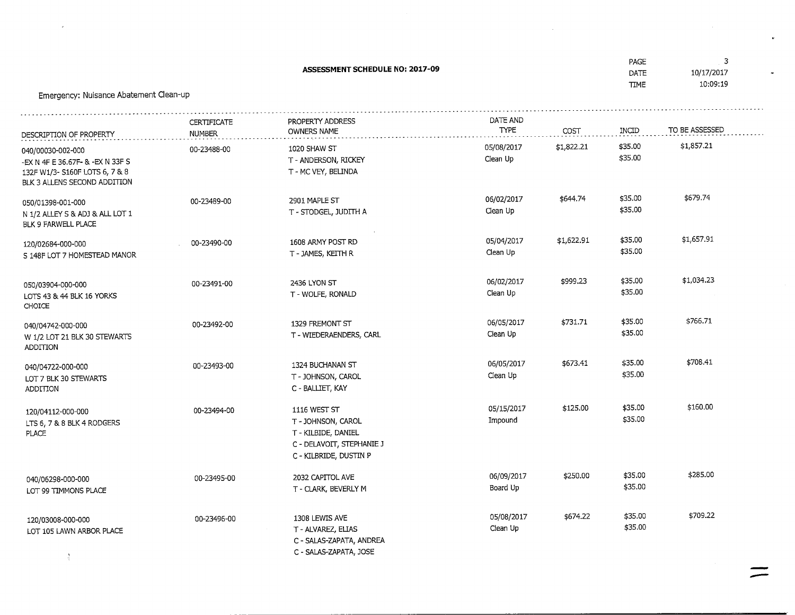COFOCUENT COUFBULE NO: 2017-00

PAGEDATE

\$35.00 \$35.00

 $\frac{4}{35.00}$ 

\$250.00

\$674.22

06/09/2017Board Up

05/08/2017Clean Up

 $\mathbf{c}$ 

 $\ddot{\phantom{a}}$ 

\$285.00

\$709.22

| <b>ASSESSMENT SCHEDULE NO: 2017-09</b><br>Emergency: Nuisance Abatement Clean-up                                        |                                     |                                                                                        |                         |            | <b>DATE</b><br><b>TIME</b> | 10/17/2017<br>10:09:19 |
|-------------------------------------------------------------------------------------------------------------------------|-------------------------------------|----------------------------------------------------------------------------------------|-------------------------|------------|----------------------------|------------------------|
| DESCRIPTION OF PROPERTY                                                                                                 | <b>CERTIFICATE</b><br><b>NUMBER</b> | PROPERTY ADDRESS<br>OWNERS NAME                                                        | DATE AND<br><b>TYPE</b> | COST       | INCID                      | TO BE ASSESSED         |
| 040/00030-002-000<br>-EX N 4F E 36.67F- & -EX N 33F S<br>132F W1/3- S160F LOTS 6, 7 & 8<br>BLK 3 ALLENS SECOND ADDITION | 00-23488-00                         | 1020 SHAW ST<br>T - ANDERSON, RICKEY<br>T - MC VEY, BELINDA                            | 05/08/2017<br>Clean Up  | \$1,822.21 | \$35.00<br>\$35.00         | \$1,857.21             |
| 050/01398-001-000<br>N 1/2 ALLEY S & ADJ & ALL LOT 1<br>BLK 9 FARWELL PLACE                                             | 00-23489-00                         | 2901 MAPLE ST<br>T - STODGEL, JUDITH A                                                 | 06/02/2017<br>Clean Up  | \$644.74   | \$35.00<br>\$35.00         | \$679.74               |
| 120/02684-000-000<br>S 148F LOT 7 HOMESTEAD MANOR                                                                       | 00-23490-00                         | 1608 ARMY POST RD<br>T - JAMES, KEITH R                                                | 05/04/2017<br>Clean Up  | \$1,622.91 | \$35.00<br>\$35.00         | \$1,657.91             |
| 050/03904-000-000<br>LOTS 43 & 44 BLK 16 YORKS<br><b>CHOICE</b>                                                         | 00-23491-00                         | 2436 LYON ST<br>T - WOLFE, RONALD                                                      | 06/02/2017<br>Clean Up  | \$999.23   | \$35.00<br>\$35.00         | \$1,034.23             |
| 040/04742-000-000<br>W 1/2 LOT 21 BLK 30 STEWARTS<br>ADDITION                                                           | 00-23492-00                         | 1329 FREMONT ST<br>T - WIEDERAENDERS, CARL                                             | 06/05/2017<br>Clean Up  | \$731.71   | \$35.00<br>\$35.00         | \$766.71               |
| 040/04722-000-000<br>LOT 7 BLK 30 STEWARTS<br>ADDITION                                                                  | 00-23493-00                         | 1324 BUCHANAN ST<br>T - JOHNSON, CAROL<br>C - BALLIET, KAY                             | 06/05/2017<br>Clean Up  | \$673.41   | \$35.00<br>\$35.00         | \$708.41               |
| 120/04112-000-000<br>LTS 6, 7 & 8 BLK 4 RODGERS<br><b>PLACE</b>                                                         | 00-23494-00                         | 1116 WEST ST<br>T - JOHNSON, CAROL<br>T - KILBIDE, DANIEL<br>C - DELAVOIT, STEPHANIE J | 05/15/2017<br>Impound   | \$125.00   | \$35.00<br>\$35.00         | \$160.00               |

00-23496-00 1308 LEWIS AVE T - ALVAREZ, ELJAS C - SALAS-ZAPATA, ANDREAC - SALAS-ZAPATA, JOSE

C - KILBRIDE, DUSTtN P

2032 CAPITOL AVET - CLARK, BEVERLY M

00-23495-00

 $\Lambda$ 

040/06298-000-000LOT 99 TtMMONS PLACE

 $\alpha$ 

120/03008-000-000LOT 105 LAWN ARBOR PLACE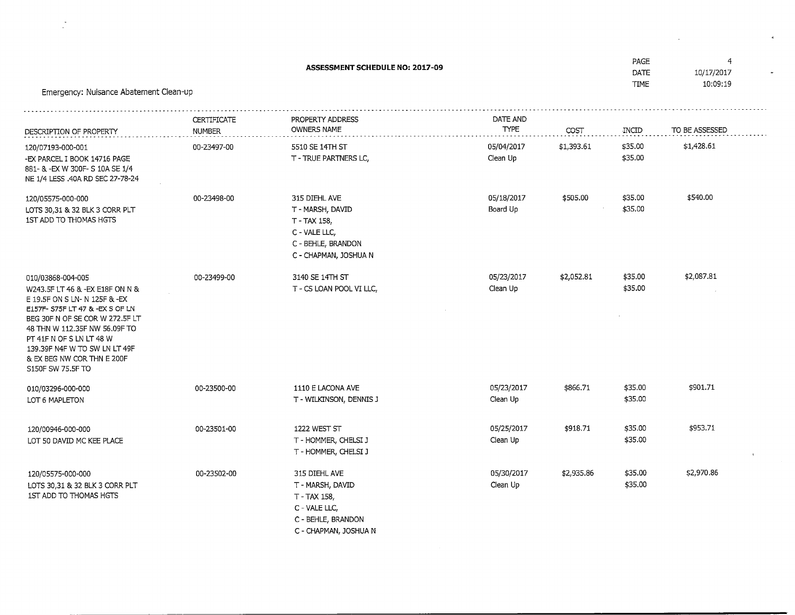| Emergency: Nuisance Abatement Clean-up                                                                                                                                                                                                                                                                       | PAGE<br>DATE<br><b>TIME</b>  | $\overline{4}$<br>10/17/2017<br>10:09:19                                                                          |                         |            |                    |                |  |
|--------------------------------------------------------------------------------------------------------------------------------------------------------------------------------------------------------------------------------------------------------------------------------------------------------------|------------------------------|-------------------------------------------------------------------------------------------------------------------|-------------------------|------------|--------------------|----------------|--|
| DESCRIPTION OF PROPERTY                                                                                                                                                                                                                                                                                      | CERTIFICATE<br><b>NUMBER</b> | PROPERTY ADDRESS<br>OWNERS NAME                                                                                   | DATE AND<br><b>TYPE</b> | COST       | INCID              | TO BE ASSESSED |  |
| 120/07193-000-001<br>-EX PARCEL I BOOK 14716 PAGE<br>881- & -EX W 300F- S 10A SE 1/4<br>NE 1/4 LESS .40A RD SEC 27-78-24                                                                                                                                                                                     | 00-23497-00                  | 5510 SE 14TH ST<br>T - TRUE PARTNERS LC,                                                                          | 05/04/2017<br>Clean Up  | \$1,393.61 | \$35.00<br>\$35.00 | \$1,428.61     |  |
| 120/05575-000-000<br>LOTS 30,31 & 32 BLK 3 CORR PLT<br>1ST ADD TO THOMAS HGTS                                                                                                                                                                                                                                | 00-23498-00                  | 315 DIEHL AVE<br>T - MARSH, DAVID<br>T - TAX 158,<br>C - VALE LLC,<br>C - BEHLE, BRANDON<br>C - CHAPMAN, JOSHUA N | 05/18/2017<br>Board Up  | \$505.00   | \$35.00<br>\$35.00 | \$540.00       |  |
| 010/03868-004-005<br>W243.5F LT 46 & -EX E18F ON N &<br>E 19.5F ON S LN- N 125F & -EX<br>E157F- S75F LT 47 & -EX S OF LN<br>BEG 30F N OF SE COR W 272.5F LT<br>48 THN W 112.35F NW 56.09F TO<br>PT 41F N OF S LN LT 48 W<br>139.39F N4F W TO SW LN LT 49F<br>& EX BEG NW COR THN E 200F<br>S150F SW 75.5F TO | 00-23499-00                  | 3140 SE 14TH ST<br>T - CS LOAN POOL VI LLC,                                                                       | 05/23/2017<br>Clean Up  | \$2,052.81 | \$35.00<br>\$35.00 | \$2,087.81     |  |
| 010/03296-000-000<br>LOT 6 MAPLETON                                                                                                                                                                                                                                                                          | 00-23500-00                  | 1110 E LACONA AVE<br>T - WILKINSON, DENNIS J                                                                      | 05/23/2017<br>Clean Up  | \$866.71   | \$35.00<br>\$35.00 | \$901.71       |  |
| 120/00946-000-000<br>LOT 50 DAVID MC KEE PLACE                                                                                                                                                                                                                                                               | 00-23501-00                  | 1222 WEST ST<br>T - HOMMER, CHELSI J<br>T - HOMMER, CHELSI J                                                      | 05/25/2017<br>Clean Up  | \$918.71   | \$35.00<br>\$35.00 | \$953.71       |  |
| 120/05575-000-000<br>LOTS 30,31 & 32 BLK 3 CORR PLT<br>1ST ADD TO THOMAS HGTS                                                                                                                                                                                                                                | 00-23502-00                  | 315 DIEHL AVE<br>T - MARSH, DAVID<br>T - TAX 158,<br>C - VALE LLC,<br>C - BEHLE, BRANDON<br>C - CHAPMAN, JOSHUA N | 05/30/2017<br>Clean Up  | \$2,935.86 | \$35.00<br>\$35.00 | \$2,970.86     |  |

 $\mathcal{A}^{\pm}$ 

 $\mathcal{L}^{\mathcal{L}}$  , and  $\mathcal{L}^{\mathcal{L}}$  , and

 $\mathbb{R}^2$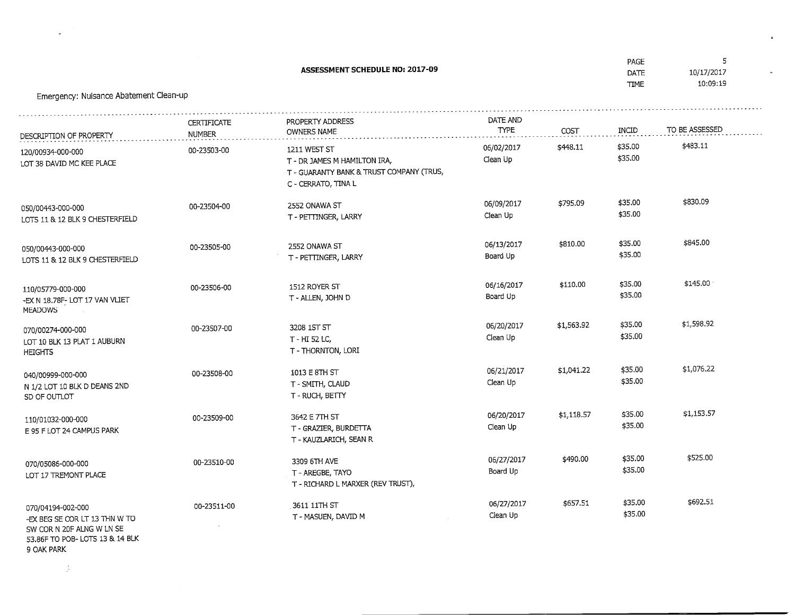|                                                                                 |                                     | <b>ASSESSMENT SCHEDULE NO: 2017-09</b>                                                                          |                         |            | PAGE<br>DATE<br><b>TIME</b> | 5<br>10/17/2017<br>10:09:19 |
|---------------------------------------------------------------------------------|-------------------------------------|-----------------------------------------------------------------------------------------------------------------|-------------------------|------------|-----------------------------|-----------------------------|
| Emergency: Nuisance Abatement Clean-up                                          |                                     |                                                                                                                 |                         |            |                             |                             |
| DESCRIPTION OF PROPERTY                                                         | <b>CERTIFICATE</b><br><b>NUMBER</b> | PROPERTY ADDRESS<br><b>OWNERS NAME</b>                                                                          | DATE AND<br><b>TYPE</b> | COST       | INCID                       | TO BE ASSESSED              |
| 120/00934-000-000<br>LOT 38 DAVID MC KEE PLACE                                  | 00-23503-00                         | 1211 WEST ST<br>T - DR JAMES M HAMILTON IRA,<br>T - GUARANTY BANK & TRUST COMPANY (TRUS,<br>C - CERRATO, TINA L | 06/02/2017<br>Clean Up  | \$448.11   | \$35.00<br>\$35.00          | \$483.11                    |
| 050/00443-000-000<br>LOTS 11 & 12 BLK 9 CHESTERFIELD                            | 00-23504-00                         | 2552 ONAWA ST<br>T - PETTINGER, LARRY                                                                           | 06/09/2017<br>Clean Up  | \$795.09   | \$35.00<br>\$35.00          | \$830.09                    |
| 050/00443-000-000<br>LOTS 11 & 12 BLK 9 CHESTERFIELD                            | 00-23505-00                         | 2552 ONAWA ST<br>T - PETTINGER, LARRY                                                                           | 06/13/2017<br>Board Up  | \$810.00   | \$35.00<br>\$35.00          | \$845.00                    |
| 110/05779-000-000<br>-EX N 18.78F- LOT 17 VAN VLIET<br><b>MEADOWS</b>           | 00-23506-00                         | 1512 ROYER ST<br>T - ALLEN, JOHN D                                                                              | 06/16/2017<br>Board Up  | \$110.00   | \$35.00<br>\$35.00          | \$145.00                    |
| 070/00274-000-000<br>LOT 10 BLK 13 PLAT 1 AUBURN<br><b>HEIGHTS</b>              | 00-23507-00                         | 3208 1ST ST<br>T - HI 52 LC,<br>T - THORNTON, LORI                                                              | 06/20/2017<br>Clean Up  | \$1,563.92 | \$35.00<br>\$35.00          | \$1,598.92                  |
| 040/00999-000-000<br>N 1/2 LOT 10 BLK D DEANS 2ND<br>SD OF OUTLOT               | 00-23508-00                         | 1013 E 8TH ST<br>T - SMITH, CLAUD<br>T - RUCH, BETTY                                                            | 06/21/2017<br>Clean Up  | \$1,041.22 | \$35.00<br>\$35.00          | \$1,076.22                  |
| 110/01032-000-000<br>E 95 F LOT 24 CAMPUS PARK                                  | 00-23509-00                         | 3642 E 7TH ST<br>T - GRAZIER, BURDETTA<br>T - KAUZLARICH, SEAN R                                                | 06/20/2017<br>Clean Up  | \$1,118.57 | \$35.00<br>\$35.00          | \$1,153.57                  |
| 070/05086-000-000<br>LOT 17 TREMONT PLACE                                       | 00-23510-00                         | 3309 6TH AVE<br>T - AREGBE, TAYO<br>T - RICHARD L MARXER (REV TRUST),                                           | 06/27/2017<br>Board Up  | \$490.00   | \$35.00<br>\$35.00          | \$525.00                    |
| 070/04194-002-000<br>-EX BEG SE COR LT 13 THN W TO<br>SW COR N 20F ALNG W LN SE | 00-23511-00                         | 3611 11TH ST<br>T - MASUEN, DAVID M                                                                             | 06/27/2017<br>Clean Up  | \$657.51   | \$35.00<br>\$35.00          | \$692.51                    |

 $\epsilon$ 

 $\Delta$ 

53.86F TO POB- LOTS 13 & 14 BLK

9 OAK PARK

 $\sim 1$ 

 $\omega$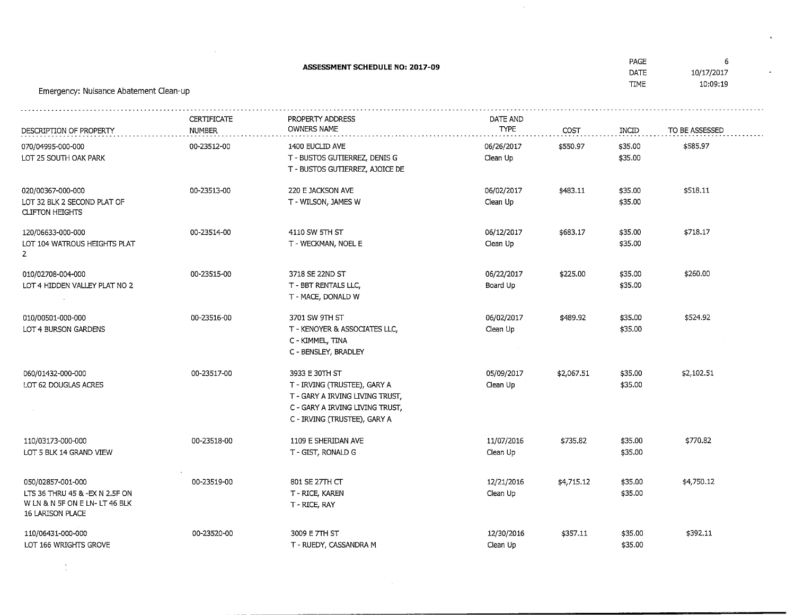| Emergency: Nuisance Abatement Clean-up                                                                  | PAGE<br>DATE<br><b>TIME</b>         | 6<br>10/17/2017<br>10:09:19                                                                                                                          |                         |            |                    |                |
|---------------------------------------------------------------------------------------------------------|-------------------------------------|------------------------------------------------------------------------------------------------------------------------------------------------------|-------------------------|------------|--------------------|----------------|
| DESCRIPTION OF PROPERTY                                                                                 | <b>CERTIFICATE</b><br><b>NUMBER</b> | PROPERTY ADDRESS<br><b>OWNERS NAME</b>                                                                                                               | DATE AND<br><b>TYPE</b> | COST       | INCID              | TO BE ASSESSED |
| 070/04995-000-000<br>LOT 25 SOUTH OAK PARK                                                              | 00-23512-00                         | 1400 EUCLID AVE<br>T - BUSTOS GUTIERREZ, DENIS G<br>T - BUSTOS GUTIERREZ, AJOICE DE                                                                  | 06/26/2017<br>Clean Up  | \$550.97   | \$35.00<br>\$35.00 | \$585.97       |
| 020/00367-000-000<br>LOT 32 BLK 2 SECOND PLAT OF<br><b>CLIFTON HEIGHTS</b>                              | 00-23513-00                         | 220 E JACKSON AVE<br>T - WILSON, JAMES W                                                                                                             | 06/02/2017<br>Clean Up  | \$483.11   | \$35.00<br>\$35.00 | \$518.11       |
| 120/06633-000-000<br>LOT 104 WATROUS HEIGHTS PLAT<br>$\overline{2}$                                     | 00-23514-00                         | 4110 SW 5TH ST<br>T - WECKMAN, NOEL E                                                                                                                | 06/12/2017<br>Clean Up  | \$683.17   | \$35.00<br>\$35.00 | \$718.17       |
| 010/02708-004-000<br>LOT 4 HIDDEN VALLEY PLAT NO 2                                                      | 00-23515-00                         | 3718 SE 22ND ST<br>T - BBT RENTALS LLC,<br>T - MACE, DONALD W                                                                                        | 06/22/2017<br>Board Up  | \$225.00   | \$35.00<br>\$35.00 | \$260.00       |
| 010/00501-000-000<br>LOT 4 BURSON GARDENS                                                               | 00-23516-00                         | 3701 SW 9TH ST<br>T - KENOYER & ASSOCIATES LLC,<br>C - KIMMEL, TINA<br>C - BENSLEY, BRADLEY                                                          | 06/02/2017<br>Clean Up  | \$489.92   | \$35.00<br>\$35.00 | \$524.92       |
| 060/01432-000-000<br>LOT 62 DOUGLAS ACRES                                                               | 00-23517-00                         | 3933 E 30TH ST<br>T - IRVING (TRUSTEE), GARY A<br>T - GARY A IRVING LIVING TRUST,<br>C - GARY A IRVING LIVING TRUST,<br>C - IRVING (TRUSTEE), GARY A | 05/09/2017<br>Clean Up  | \$2,067.51 | \$35.00<br>\$35.00 | \$2,102.51     |
| 110/03173-000-000<br>LOT 5 BLK 14 GRAND VIEW                                                            | 00-23518-00                         | 1109 E SHERIDAN AVE<br>T - GIST, RONALD G                                                                                                            | 11/07/2016<br>Clean Up  | \$735.82   | \$35.00<br>\$35.00 | \$770.82       |
| 050/02857-001-000<br>LTS 36 THRU 45 & -EX N 2.5F ON<br>WLN & N 5F ON E LN-LT 46 BLK<br>16 LARISON PLACE | 00-23519-00                         | 801 SE 27TH CT<br>T - RICE, KAREN<br>T - RICE, RAY                                                                                                   | 12/21/2016<br>Clean Up  | \$4,715.12 | \$35.00<br>\$35.00 | \$4,750.12     |
| 110/06431-000-000<br>LOT 166 WRIGHTS GROVE                                                              | 00-23520-00                         | 3009 E 7TH ST<br>T - RUEDY, CASSANDRA M                                                                                                              | 12/30/2016<br>Clean Up  | \$357.11   | \$35.00<br>\$35.00 | \$392.11       |

 $\sim 10^{-10}$ 

 $\sim 10$ 

 $\mathbf{c}$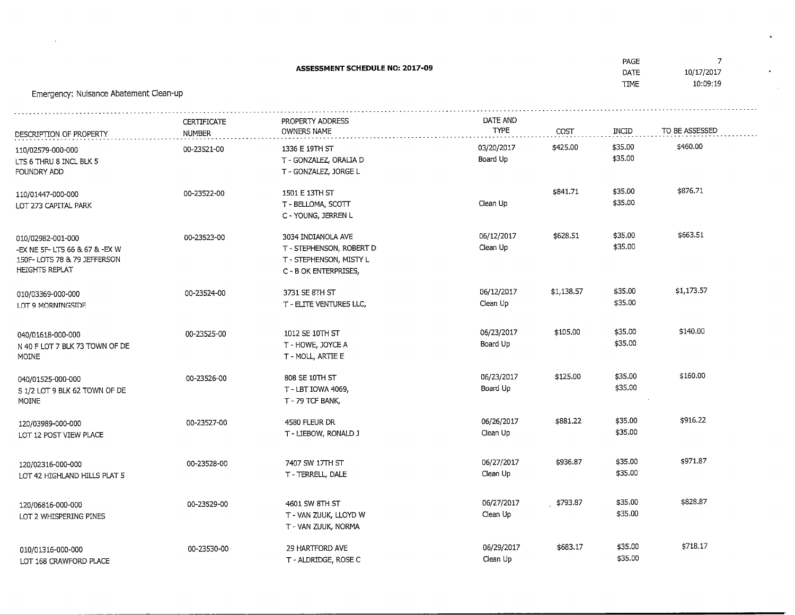| Emergency: Nuisance Abatement Clean-up                                                                       | <b>1744</b><br>DATE<br>TIME         | 10/17/2017<br>10:09:19                                                                             |                         |            |                    |                |
|--------------------------------------------------------------------------------------------------------------|-------------------------------------|----------------------------------------------------------------------------------------------------|-------------------------|------------|--------------------|----------------|
| DESCRIPTION OF PROPERTY                                                                                      | <b>CERTIFICATE</b><br><b>NUMBER</b> | PROPERTY ADDRESS<br>OWNERS NAME                                                                    | DATE AND<br><b>TYPE</b> | COST       | INCID              | TO BE ASSESSED |
| 110/02579-000-000<br>LTS 6 THRU 8 INCL BLK 5<br>FOUNDRY ADD                                                  | 00-23521-00                         | 1336 E 19TH ST<br>T - GONZALEZ, ORALIA D<br>T - GONZALEZ, JORGE L                                  | 03/20/2017<br>Board Up  | \$425.00   | \$35.00<br>\$35.00 | \$460.00       |
| 110/01447-000-000<br>LOT 273 CAPITAL PARK                                                                    | 00-23522-00                         | 1501 E 13TH ST<br>T - BELLOMA, SCOTT<br>C - YOUNG, JERREN L                                        | Clean Up                | \$841.71   | \$35.00<br>\$35.00 | \$876.71       |
| 010/02982-001-000<br>-EX NE 5F- LTS 66 & 67 & -EX W<br>150F- LOTS 78 & 79 JEFFERSON<br><b>HEIGHTS REPLAT</b> | 00-23523-00                         | 3034 INDIANOLA AVE<br>T - STEPHENSON, ROBERT D<br>T - STEPHENSON, MISTY L<br>C - B OK ENTERPRISES, | 06/12/2017<br>Clean Up  | \$628.51   | \$35.00<br>\$35.00 | \$663.51       |
| 010/03369-000-000<br>LOT 9 MORNINGSIDE                                                                       | 00-23524-00                         | 3731 SE 8TH ST<br>T - ELITE VENTURES LLC,                                                          | 06/12/2017<br>Clean Up  | \$1,138.57 | \$35.00<br>\$35.00 | \$1,173.57     |
| 040/01618-000-000<br>N 40 F LOT 7 BLK 73 TOWN OF DE<br>MOINE                                                 | 00-23525-00                         | 1012 SE 10TH ST<br>T - HOWE, JOYCE A<br>T - MOLL, ARTIE E                                          | 06/23/2017<br>Board Up  | \$105.00   | \$35.00<br>\$35.00 | \$140.00       |
| 040/01525-000-000<br>S 1/2 LOT 9 BLK 62 TOWN OF DE<br>MOINE                                                  | 00-23526-00                         | 808 SE 10TH ST<br>T - LBT IOWA 4069,<br>T - 79 TCF BANK,                                           | 06/23/2017<br>Board Up  | \$125.00   | \$35.00<br>\$35.00 | \$160.00       |
| 120/03989-000-000<br>LOT 12 POST VIEW PLACE                                                                  | 00-23527-00                         | 4580 FLEUR DR<br>T - LIEBOW, RONALD J                                                              | 06/26/2017<br>Clean Up  | \$881.22   | \$35.00<br>\$35.00 | \$916.22       |
| 120/02316-000-000<br>LOT 42 HIGHLAND HILLS PLAT 5                                                            | 00-23528-00                         | 7407 SW 17TH ST<br>T - TERRELL, DALE                                                               | 06/27/2017<br>Clean Up  | \$936.87   | \$35.00<br>\$35.00 | \$971.87       |
| 120/06816-000-000<br>LOT 2 WHISPERING PINES                                                                  | 00-23529-00                         | 4601 SW 8TH ST<br>T - VAN ZUUK, LLOYD W<br>T - VAN ZUUK, NORMA                                     | 06/27/2017<br>Clean Up  | \$793.87   | \$35.00<br>\$35.00 | \$828.87       |
| 010/01316-000-000<br>LOT 168 CRAWFORD PLACE                                                                  | 00-23530-00                         | 29 HARTFORD AVE<br>T - ALDRIDGE, ROSE C                                                            | 06/29/2017<br>Clean Up  | \$683.17   | \$35.00<br>\$35.00 | \$718.17       |

 $\sim$ 

 $\mathcal{A}$  .

 $\Delta \sim 10^{-11}$  $\sim 100$  km s  $^{-1}$